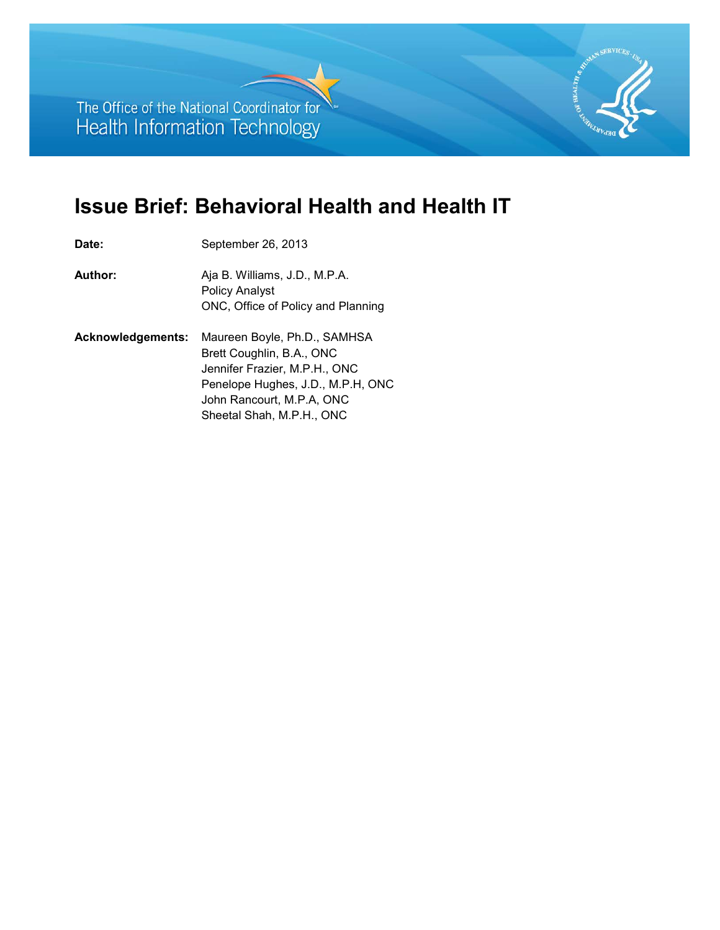The Office of the National Coordinator for Health Information Technology

# **Issue Brief: Behavioral Health and Health IT**

 ONC, Office of Policy and Planning **Acknowledgements:** Maureen Boyle, Ph.D., SAMHSA Date: September 26, 2013 **Author:** Aja B. Williams, J.D., M.P.A. Policy Analyst Brett Coughlin, B.A., ONC Jennifer Frazier, M.P.H., ONC Penelope Hughes, J.D., M.P.H, ONC John Rancourt, M.P.A, ONC Sheetal Shah, M.P.H., ONC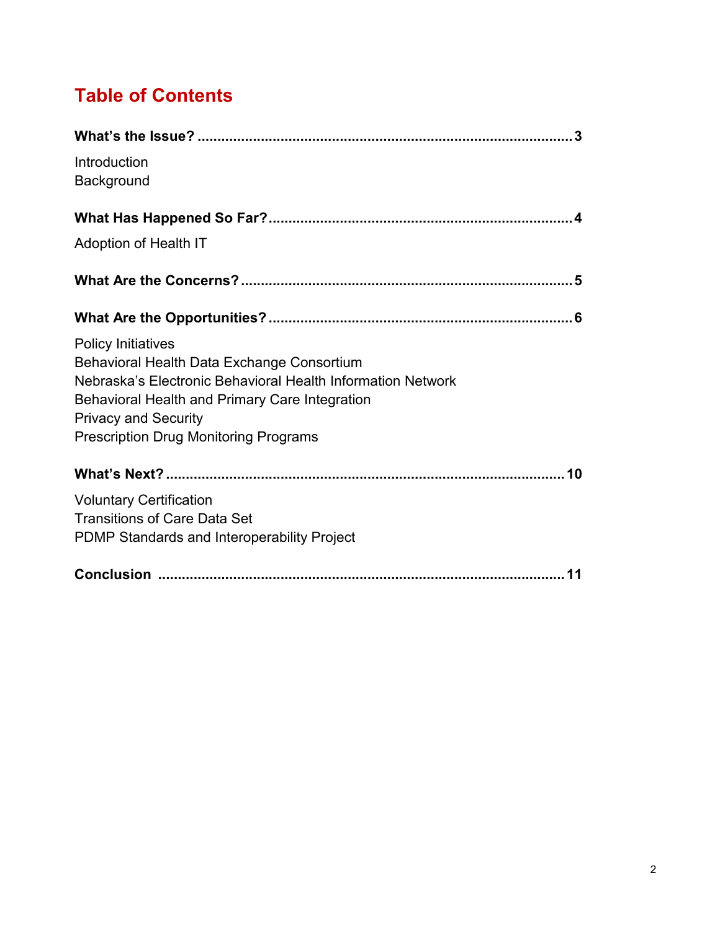# **Table of Contents**

| Introduction                                                                  |
|-------------------------------------------------------------------------------|
| Background                                                                    |
|                                                                               |
| Adoption of Health IT                                                         |
|                                                                               |
|                                                                               |
| <b>Policy Initiatives</b>                                                     |
| Behavioral Health Data Exchange Consortium                                    |
| Nebraska's Electronic Behavioral Health Information Network                   |
| Behavioral Health and Primary Care Integration<br><b>Privacy and Security</b> |
| <b>Prescription Drug Monitoring Programs</b>                                  |
|                                                                               |
| <b>Voluntary Certification</b>                                                |
| <b>Transitions of Care Data Set</b>                                           |
| PDMP Standards and Interoperability Project                                   |
|                                                                               |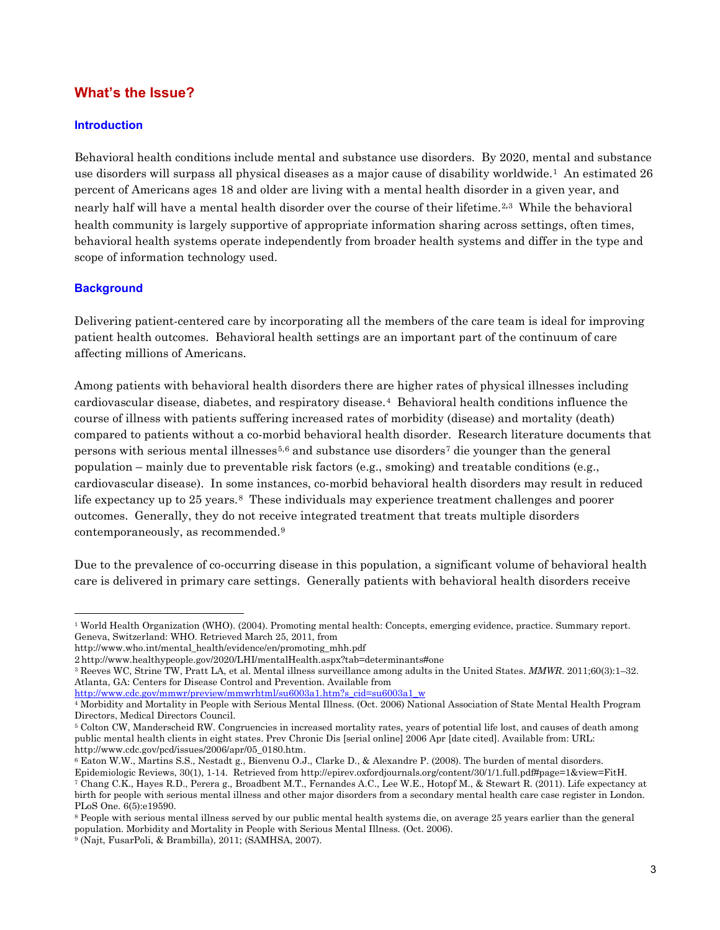#### <span id="page-2-0"></span>**What's the Issue?**

#### **Introduction**

 use disorders will surpass all physical diseases as a major cause of disability worldwide.[1](#page-2-1) An estimated 26 nearly half will have a mental health disorder over the course of their lifetime.[2](#page-2-2),[3](#page-2-3) While the behavioral behavioral health systems operate independently from broader health systems and differ in the type and Behavioral health conditions include mental and substance use disorders. By 2020, mental and substance percent of Americans ages 18 and older are living with a mental health disorder in a given year, and health community is largely supportive of appropriate information sharing across settings, often times, scope of information technology used.

#### **Background**

 patient health outcomes. Behavioral health settings are an important part of the continuum of care affecting millions of Americans. Delivering patient-centered care by incorporating all the members of the care team is ideal for improving

affecting millions of Americans.<br>Among patients with behavioral health disorders there are higher rates of physical illnesses including cardiovascular disease, diabetes, and respiratory disease.[4](#page-2-4) Behavioral health conditions influence the compared to patients without a co-morbid behavioral health disorder. Research literature documents that cardiovascular disease). In some instances, co-morbid behavioral health disorders may result in reduced life expectancy up to 25 years.<sup>8</sup> These individuals may experience treatment challenges and poorer outcomes. Generally, they do not receive integrated treatment that treats multiple disorders contemporaneously, as recommended.[9](#page-2-9) course of illness with patients suffering increased rates of morbidity (disease) and mortality (death) persons with serious mental illnesses<sup>[5](#page-2-5),[6](#page-2-6)</sup> and substance use disorders<sup>[7](#page-2-7)</sup> die younger than the general population – mainly due to preventable risk factors (e.g., smoking) and treatable conditions (e.g.,

 care is delivered in primary care settings. Generally patients with behavioral health disorders receive Due to the prevalence of co-occurring disease in this population, a significant volume of behavioral health

<span id="page-2-1"></span> 1 World Health Organization (WHO). (2004). Promoting mental health: Concepts, emerging evidence, practice. Summary report. Geneva, Switzerland: WHO. Retrieved March 25, 2011, from

http://www.who.int/mental\_health/evidence/en/promoting\_mhh.pdf

<span id="page-2-3"></span><span id="page-2-2"></span><sup>2</sup> http://www.healthypeople.gov/2020/LHI/mentalHealth.aspx?tab=determinants#one<br><sup>3</sup> Reeves WC, Strine TW, Pratt LA, et al. Mental illness surveillance among adults in the United States. *MMWR.* 2011;60(3):1–32. Atlanta, GA: Centers for Disease Control and Prevention. Available from

[http://www.cdc.gov/mmwr/preview/mmwrhtml/su6003a1.htm?s\\_cid=su6003a1\\_w](http://www.cdc.gov/mmwr/preview/mmwrhtml/su6003a1.htm?s_cid=su6003a1_w) 

<span id="page-2-4"></span> 4 Morbidity and Mortality in People with Serious Mental Illness. (Oct. 2006) National Association of State Mental Health Program Directors, Medical Directors Council.

<span id="page-2-5"></span> 5 Colton CW, Manderscheid RW. Congruencies in increased mortality rates, years of potential life lost, and causes of death among public mental health clients in eight states. Prev Chronic Dis [serial online] 2006 Apr [date cited]. Available from: URL: http://www.cdc.gov/pcd/issues/2006/apr/05\_0180.htm.

<span id="page-2-7"></span><span id="page-2-6"></span> 6 Eaton W.W., Martins S.S., Nestadt g., Bienvenu O.J., Clarke D., & Alexandre P. (2008). The burden of mental disorders. Epidemiologic Reviews, 30(1), 1-14. Retrieved from http://epirev.oxfordjournals.org/content/30/1/1.full.pdf#page=1&view=FitH. 7 Chang C.K., Hayes R.D., Perera g., Broadbent M.T., Fernandes A.C., Lee W.E., Hotopf M., & Stewart R. (2011). Life expectancy at birth for people with serious mental illness and other major disorders from a secondary mental health care case register in London. PLoS One. 6(5):e19590.

<span id="page-2-8"></span> 8 People with serious mental illness served by our public mental health systems die, on average 25 years earlier than the general population. Morbidity and Mortality in People with Serious Mental Illness. (Oct. 2006). 9 (Najt, FusarPoli, & Brambilla), 2011; (SAMHSA, 2007).

<span id="page-2-9"></span>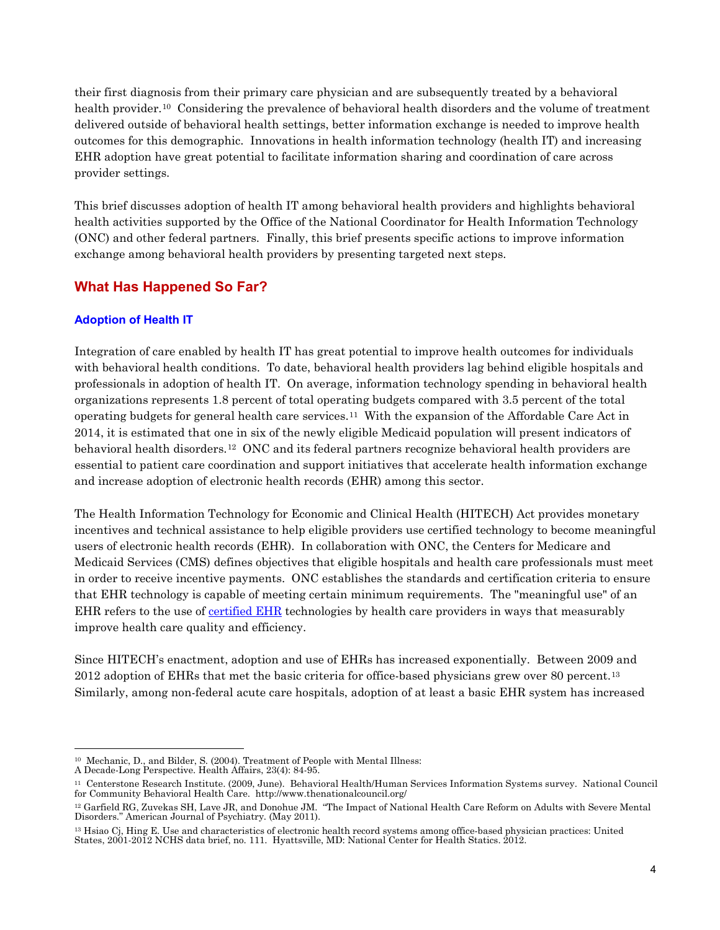<span id="page-3-0"></span>health provider.<sup>[10](#page-3-1)</sup> Considering the prevalence of behavioral health disorders and the volume of treatment delivered outside of behavioral health settings, better information exchange is needed to improve health their first diagnosis from their primary care physician and are subsequently treated by a behavioral outcomes for this demographic. Innovations in health information technology (health IT) and increasing EHR adoption have great potential to facilitate information sharing and coordination of care across provider settings.

 (ONC) and other federal partners. Finally, this brief presents specific actions to improve information This brief discusses adoption of health IT among behavioral health providers and highlights behavioral health activities supported by the Office of the National Coordinator for Health Information Technology exchange among behavioral health providers by presenting targeted next steps.

## **What Has Happened So Far?**

#### **Adoption of Health IT**

 with behavioral health conditions. To date, behavioral health providers lag behind eligible hospitals and professionals in adoption of health IT. On average, information technology spending in behavioral health organizations represents 1.8 percent of total operating budgets compared with 3.5 percent of the total operating budgets for general health care services.[11](#page-3-2) With the expansion of the Affordable Care Act in behavioral health disorders.[12](#page-3-3) ONC and its federal partners recognize behavioral health providers are essential to patient care coordination and support initiatives that accelerate health information exchange Integration of care enabled by health IT has great potential to improve health outcomes for individuals 2014, it is estimated that one in six of the newly eligible Medicaid population will present indicators of and increase adoption of electronic health records (EHR) among this sector.

 users of electronic health records (EHR). In collaboration with ONC, the Centers for Medicare and Medicaid Services (CMS) defines objectives that eligible hospitals and health care professionals must meet that EHR technology is capable of meeting certain minimum requirements. The "meaningful use" of an The Health Information Technology for Economic and Clinical Health (HITECH) Act provides monetary incentives and technical assistance to help eligible providers use certified technology to become meaningful in order to receive incentive payments. ONC establishes the standards and certification criteria to ensure EHR refers to the use of **certified EHR** technologies by health care providers in ways that measurably improve health care quality and efficiency.

2012 adoption of EHRs that met the basic criteria for office-based physicians grew over 80 percent.<sup>[13](#page-3-4)</sup> Similarly, among non-federal acute care hospitals, adoption of at least a basic EHR system has increased Since HITECH's enactment, adoption and use of EHRs has increased exponentially. Between 2009 and

<span id="page-3-1"></span><sup>10</sup> Mechanic, D., and Bilder, S. (2004). Treatment of People with Mental Illness:

A Decade-Long Perspective. Health Affairs, 23(4): 84-95.

<span id="page-3-2"></span><sup>&</sup>lt;sup>11</sup> Centerstone Research Institute. (2009, June). Behavioral Health/Human Services Information Systems survey. National Council for Community Behavioral Health Care. <http://www.thenationalcouncil.org/>

<span id="page-3-3"></span><sup>&</sup>lt;sup>12</sup> Garfield RG, Zuvekas SH, Lave JR, and Donohue JM. "The Impact of National Health Care Reform on Adults with Severe Mental Disorders." American Journal of Psychiatry. (May 2011).

<span id="page-3-4"></span><sup>&</sup>lt;sup>13</sup> Hsiao Cj, Hing E. Use and characteristics of electronic health record systems among office-based physician practices: United States, 2001-2012 NCHS data brief, no. 111. Hyattsville, MD: National Center for Health Statics. 2012.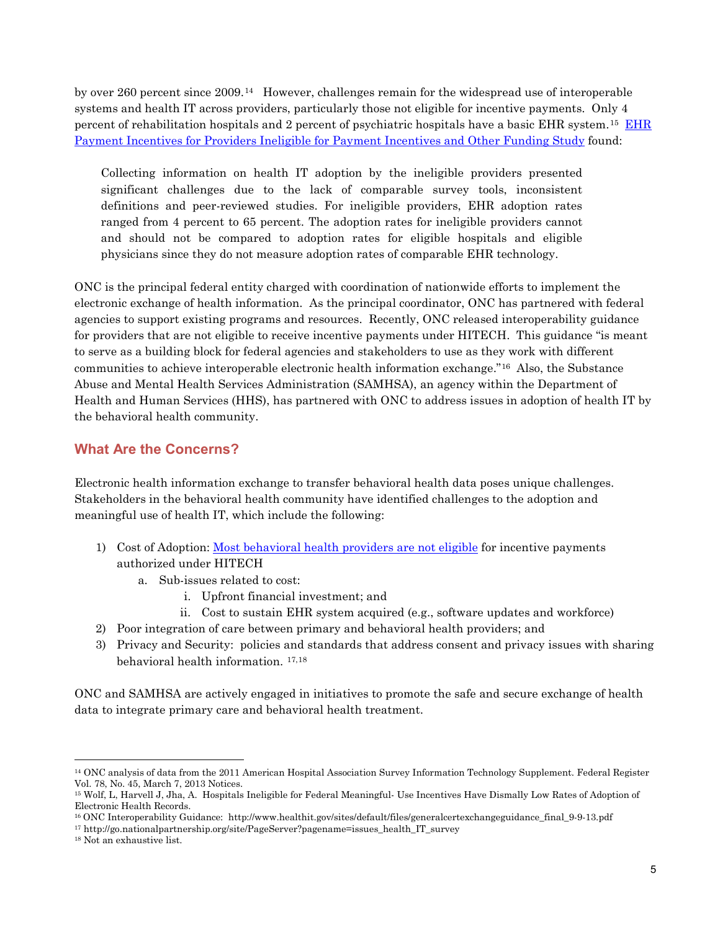<span id="page-4-0"></span> by over 260 percent since 2009.[14](#page-4-1) However, challenges remain for the widespread use of interoperable systems and health IT across providers, particularly those not eligible for incentive payments. Only 4 percent of rehabilitation hospitals and 2 percent of psychiatric hospitals have a basic EHR system.<sup>[15](#page-4-2)</sup>  $\overline{\rm EHR}$ [Payment Incentives for Providers Ineligible for Payment Incentives and Other Funding Study](http://aspe.hhs.gov/daltcp/reports/2013/ehrpi.shtml) found:

 Collecting information on health IT adoption by the ineligible providers presented ranged from 4 percent to 65 percent. The adoption rates for ineligible providers cannot significant challenges due to the lack of comparable survey tools, inconsistent definitions and peer-reviewed studies. For ineligible providers, EHR adoption rates and should not be compared to adoption rates for eligible hospitals and eligible physicians since they do not measure adoption rates of comparable EHR technology.

 electronic exchange of health information. As the principal coordinator, ONC has partnered with federal for providers that are not eligible to receive incentive payments under HITECH. This guidance "is meant communities to achieve interoperable electronic health information exchange."[16](#page-4-3) Also, the Substance the behavioral health community. ONC is the principal federal entity charged with coordination of nationwide efforts to implement the agencies to support existing programs and resources. Recently, ONC released interoperability guidance to serve as a building block for federal agencies and stakeholders to use as they work with different Abuse and Mental Health Services Administration (SAMHSA), an agency within the Department of Health and Human Services (HHS), has partnered with ONC to address issues in adoption of health IT by

## **What Are the Concerns?**

 Electronic health information exchange to transfer behavioral health data poses unique challenges. Stakeholders in the behavioral health community have identified challenges to the adoption and meaningful use of health IT, which include the following:

- 1) Cost of Adoption: [Most behavioral health providers are not eligible](http://www.cms.gov/Regulations-and-Guidance/Legislation/EHRIncentivePrograms/Downloads/MLN_MedicareEHRProgram_TipSheet_EP.pdf) for incentive payments authorized under HITECH
	- a. Sub-issues related to cost:
		- i. Upfront financial investment; and
		- i. Upfront financial investment; and ii. Cost to sustain EHR system acquired (e.g., software updates and workforce)
- 2) Poor integration of care between primary and behavioral health providers; and
- 3) Privacy and Security: policies and standards that address consent and privacy issues with sharing behavioral health information. [17,](#page-4-4)[18](#page-4-5)

 ONC and SAMHSA are actively engaged in initiatives to promote the safe and secure exchange of health data to integrate primary care and behavioral health treatment.

<span id="page-4-1"></span> 14 ONC analysis of data from the 2011 American Hospital Association Survey Information Technology Supplement. Federal Register Vol. 78, No. 45, March 7, 2013 Notices.

<span id="page-4-2"></span> 15 Wolf, L, Harvell J, Jha, A. Hospitals Ineligible for Federal Meaningful- Use Incentives Have Dismally Low Rates of Adoption of  $\overline{a}$ Electronic Health Records.

<span id="page-4-4"></span><span id="page-4-3"></span><sup>&</sup>lt;sup>16</sup> ONC Interoperability Guidance: http://www.healthit.gov/sites/default/files/generalcertexchangeguidance\_final\_9-9-13.pdf<br><sup>17</sup> http://go.nationalpartnership.org/site/PageServer?pagename=issues\_health\_IT\_survey<br><sup>18</sup> Not

<span id="page-4-5"></span>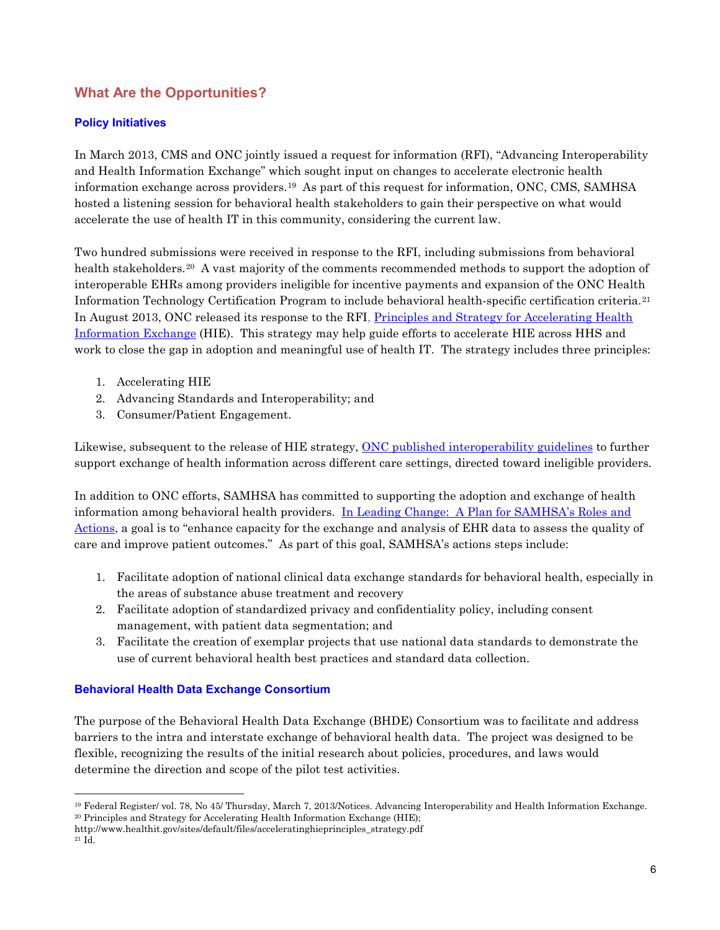## <span id="page-5-0"></span>**What Are the Opportunities?**

## **Policy Initiatives**

 In March 2013, CMS and ONC jointly issued a request for information (RFI), "Advancing Interoperability information exchange across providers.[19](#page-5-1) As part of this request for information, ONC, CMS, SAMHSA and Health Information Exchange" which sought input on changes to accelerate electronic health hosted a listening session for behavioral health stakeholders to gain their perspective on what would accelerate the use of health IT in this community, considering the current law.

health stakeholders.<sup>[20](#page-5-2)</sup> A vast majority of the comments recommended methods to support the adoption of [Information Exchange](http://www.healthit.gov/sites/default/files/acceleratinghieprinciples_strategy.pdf) (HIE). This strategy may help guide efforts to accelerate HIE across HHS and Two hundred submissions were received in response to the RFI, including submissions from behavioral interoperable EHRs among providers ineligible for incentive payments and expansion of the ONC Health Information Technology Certification Program to include behavioral health-specific certification criteria.[21](#page-5-3) In August 2013, ONC released its response to the RFI, [Principles and Strategy for Accelerating Health](http://www.healthit.gov/sites/default/files/acceleratinghieprinciples_strategy.pdf)  work to close the gap in adoption and meaningful use of health IT. The strategy includes three principles:

- 1. Accelerating HIE
- 2. Advancing Standards and Interoperability; and
- 3. Consumer/Patient Engagement.

Likewise, subsequent to the release of HIE strategy, [ONC published interoperability guidelines](http://www.healthit.gov/sites/default/files/generalcertexchangeguidance_final_9-9-13.pdf) to further support exchange of health information across different care settings, directed toward ineligible providers. In addition to ONC efforts, SAMHSA has committed to supporting the adoption and exchange of health

[Actions,](http://store.samhsa.gov/shin/content/SMA11-4629/01-FullDocument.pdf) a goal is to "enhance capacity for the exchange and analysis of EHR data to assess the quality of information among behavioral health providers. [In Leading Change: A Plan for SAMHSA's Roles and](http://store.samhsa.gov/shin/content/SMA11-4629/01-FullDocument.pdf)  care and improve patient outcomes." As part of this goal, SAMHSA's actions steps include:

- 1. Facilitate adoption of national clinical data exchange standards for behavioral health, especially in the areas of substance abuse treatment and recovery
- 2. Facilitate adoption of standardized privacy and confidentiality policy, including consent management, with patient data segmentation; and
- 3. Facilitate the creation of exemplar projects that use national data standards to demonstrate the use of current behavioral health best practices and standard data collection.

#### **Behavioral Health Data Exchange Consortium**

 barriers to the intra and interstate exchange of behavioral health data. The project was designed to be The purpose of the Behavioral Health Data Exchange (BHDE) Consortium was to facilitate and address flexible, recognizing the results of the initial research about policies, procedures, and laws would determine the direction and scope of the pilot test activities.

<span id="page-5-1"></span><sup>19</sup> Federal Register/ vol. 78, No 45/ Thursday, March 7, 2013/Notices. Advancing Interoperability and Health Information Exchange. 20 Principles and Strategy for Accelerating Health Information Exchange (HIE);

<span id="page-5-2"></span>http://www.healthit.gov/sites/default/files/acceleratinghieprinciples\_strategy.pdf

<span id="page-5-3"></span><sup>21</sup> Id.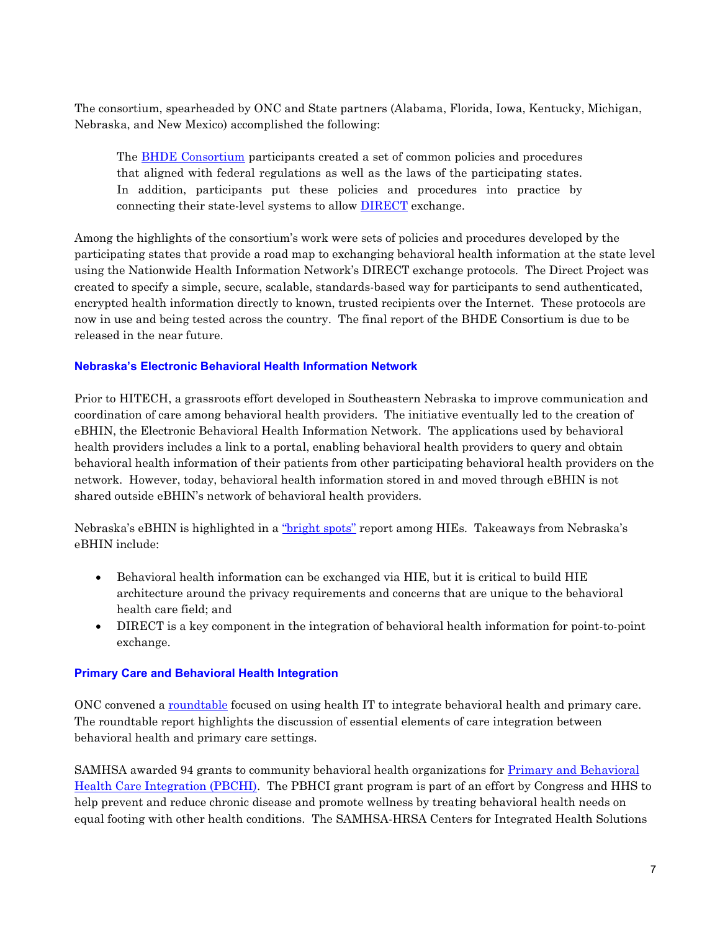<span id="page-6-0"></span>The consortium, spearheaded by ONC and State partners (Alabama, Florida, Iowa, Kentucky, Michigan, Nebraska, and New Mexico) accomplished the following:

The **BHDE** Consortium participants created a set of common policies and procedures that aligned with federal regulations as well as the laws of the participating states. connecting their state-level systems to allow **DIRECT** exchange. In addition, participants put these policies and procedures into practice by

 using the Nationwide Health Information Network's DIRECT exchange protocols. The Direct Project was encrypted health information directly to known, trusted recipients over the Internet. These protocols are now in use and being tested across the country. The final report of the BHDE Consortium is due to be Among the highlights of the consortium's work were sets of policies and procedures developed by the participating states that provide a road map to exchanging behavioral health information at the state level created to specify a simple, secure, scalable, standards-based way for participants to send authenticated, released in the near future.

#### **Nebraska's Electronic Behavioral Health Information Network**

 Prior to HITECH, a grassroots effort developed in Southeastern Nebraska to improve communication and coordination of care among behavioral health providers. The initiative eventually led to the creation of eBHIN, the Electronic Behavioral Health Information Network. The applications used by behavioral health providers includes a link to a portal, enabling behavioral health providers to query and obtain behavioral health information of their patients from other participating behavioral health providers on the network. However, today, behavioral health information stored in and moved through eBHIN is not shared outside eBHIN's network of behavioral health providers.

Nebraska's eBHIN is highlighted in a <u>"bright spots"</u> report among HIEs. Takeaways from Nebraska's eBHIN include:

- Behavioral health information can be exchanged via HIE, but it is critical to build HIE architecture around the privacy requirements and concerns that are unique to the behavioral health care field; and
- DIRECT is a key component in the integration of behavioral health information for point-to-point exchange.

#### **Primary Care and Behavioral Health Integration**

ONC convened a [roundtable](http://www.healthit.gov/sites/default/files/bh-roundtable-findings-report_0.pdf) focused on using health IT to integrate behavioral health and primary care. The roundtable report highlights the discussion of essential elements of care integration between behavioral health and primary care settings.

 equal footing with other health conditions. The SAMHSA-HRSA Centers for Integrated Health Solutions SAMHSA awarded 94 grants to community behavioral health organizations for [Primary and Behavioral](http://www.centerforintegratedhealthsolutions.org/about-us/pbhci)  [Health Care Integration \(PBCHI\).](http://www.centerforintegratedhealthsolutions.org/about-us/pbhci) The PBHCI grant program is part of an effort by Congress and HHS to help prevent and reduce chronic disease and promote wellness by treating behavioral health needs on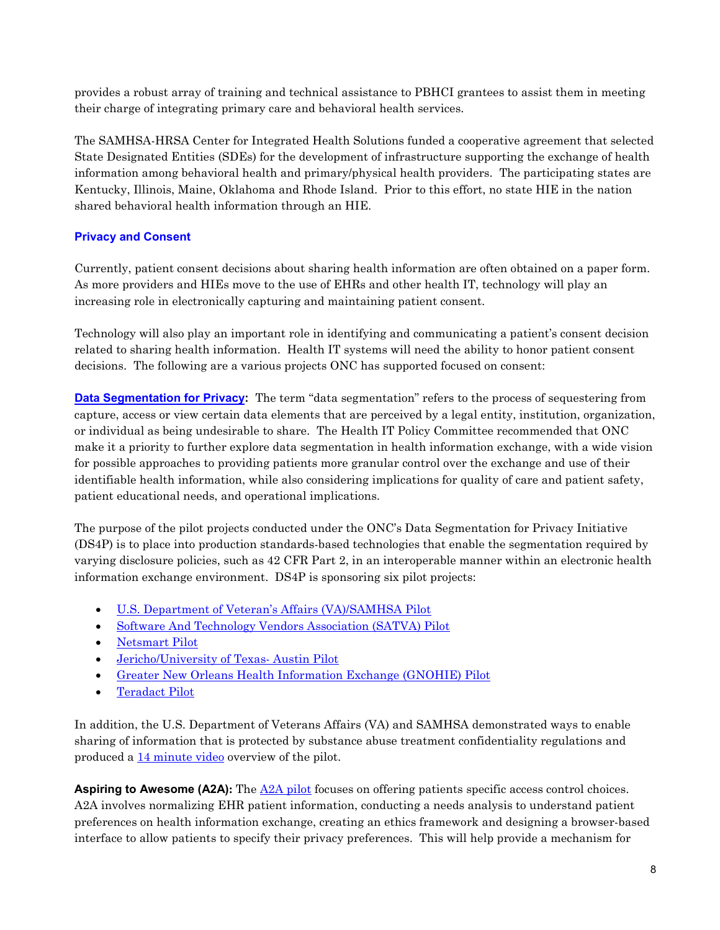<span id="page-7-0"></span> provides a robust array of training and technical assistance to PBHCI grantees to assist them in meeting their charge of integrating primary care and behavioral health services.

 Kentucky, Illinois, Maine, Oklahoma and Rhode Island. Prior to this effort, no state HIE in the nation The SAMHSA-HRSA Center for Integrated Health Solutions funded a cooperative agreement that selected State Designated Entities (SDEs) for the development of infrastructure supporting the exchange of health information among behavioral health and primary/physical health providers. The participating states are shared behavioral health information through an HIE.

## **Privacy and Consent**

 As more providers and HIEs move to the use of EHRs and other health IT, technology will play an Currently, patient consent decisions about sharing health information are often obtained on a paper form. increasing role in electronically capturing and maintaining patient consent.

 decisions. The following are a various projects ONC has supported focused on consent: Technology will also play an important role in identifying and communicating a patient's consent decision related to sharing health information. Health IT systems will need the ability to honor patient consent

 or individual as being undesirable to share. The Health IT Policy Committee recommended that ONC for possible approaches to providing patients more granular control over the exchange and use of their identifiable health information, while also considering implications for quality of care and patient safety, **[Data Segmentation for Privacy:](http://wiki.siframework.org/Data+Segmentation+for+Privacy+Charter+and+Members)** The term "data segmentation" refers to the process of sequestering from capture, access or view certain data elements that are perceived by a legal entity, institution, organization, make it a priority to further explore data segmentation in health information exchange, with a wide vision patient educational needs, and operational implications.

 information exchange environment. DS4P is sponsoring six pilot projects: The purpose of the pilot projects conducted under the ONC's Data Segmentation for Privacy Initiative (DS4P) is to place into production standards-based technologies that enable the segmentation required by varying disclosure policies, such as 42 CFR Part 2, in an interoperable manner within an electronic health

- [U.S. Department of Veteran's Affairs \(VA\)/SAMHSA Pilot](http://wiki.siframework.org/DS4P+VA-SAMHSA+Pilot)
- [Software And Technology Vendors Association \(SATVA\) Pilot](http://wiki.siframework.org/DS4P+SATVA+Pilot)
- [Netsmart Pilot](http://wiki.siframework.org/DS4P+Netsmart+Pilot)
- [Jericho/University of Texas-](http://wiki.siframework.org/DS4P+Jericho-UT+Austin+Pilot) Austin Pilot
- [Greater New Orleans Health Information Exchange \(GNOHIE\) Pilot](http://wiki.siframework.org/DS4P+GNOHIE+Pilot)
- [Teradact Pilot](http://wiki.siframework.org/DS4P+Teradact+Pilot)

produced a  $14$  minute video overview of the pilot. In addition, the U.S. Department of Veterans Affairs (VA) and SAMHSA demonstrated ways to enable sharing of information that is protected by substance abuse treatment confidentiality regulations and

 interface to allow patients to specify their privacy preferences. This will help provide a mechanism for **Aspiring to Awesome (A2A):** The [A2A pilot](http://statehieresources.org/wp-content/uploads/2013/07/IN-theme-4-Challenge-Grantee-Summary_final.pdf) focuses on offering patients specific access control choices. A2A involves normalizing EHR patient information, conducting a needs analysis to understand patient preferences on health information exchange, creating an ethics framework and designing a browser-based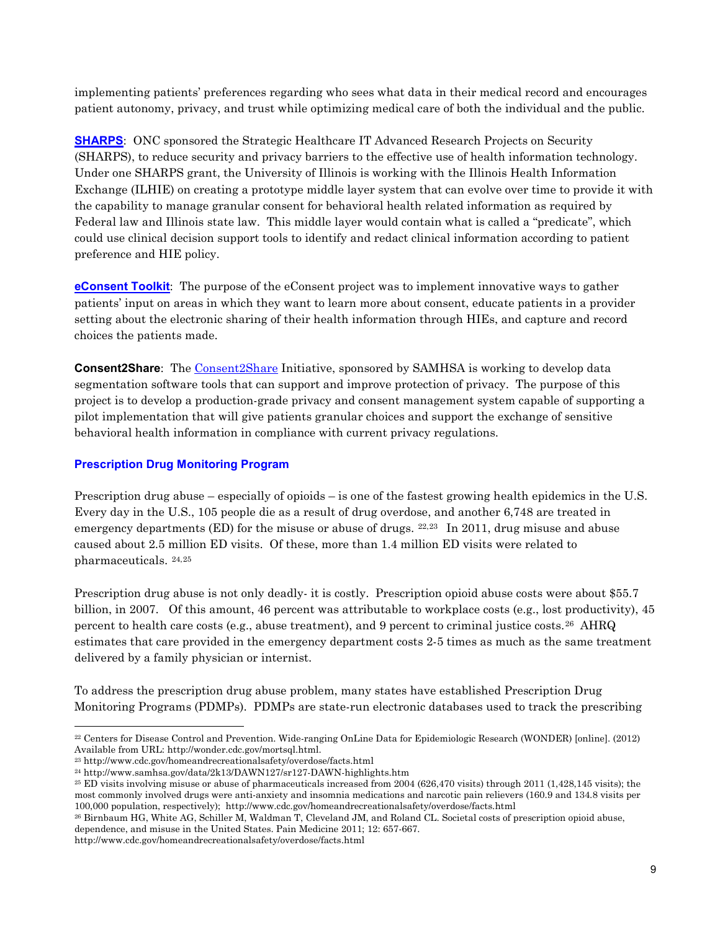<span id="page-8-0"></span> patient autonomy, privacy, and trust while optimizing medical care of both the individual and the public. implementing patients' preferences regarding who sees what data in their medical record and encourages

(SHARPS), to reduce security and privacy barriers to the effective use of health information technology. Federal law and Illinois state law. This middle layer would contain what is called a "predicate", which preference and HIE policy. **[SHARPS](http://www.healthit.gov/providers-professionals/patient-consent-electronic-health-information-exchange/health-it)**: ONC sponsored the Strategic Healthcare IT Advanced Research Projects on Security Under one SHARPS grant, the University of Illinois is working with the Illinois Health Information Exchange (ILHIE) on creating a prototype middle layer system that can evolve over time to provide it with the capability to manage granular consent for behavioral health related information as required by could use clinical decision support tools to identify and redact clinical information according to patient

 **[eConsent Toolkit](http://www.healthit.gov/providers-professionals/patient-consent-electronic-health-information-exchange/econsent-toolkit)**: The purpose of the eConsent project was to implement innovative ways to gather patients' input on areas in which they want to learn more about consent, educate patients in a provider setting about the electronic sharing of their health information through HIEs, and capture and record choices the patients made.

 segmentation software tools that can support and improve protection of privacy. The purpose of this project is to develop a production-grade privacy and consent management system capable of supporting a **Consent2Share:** The [Consent2Share](http://www.healthit.gov/sites/default/files/c2spresentation_0.pdf) Initiative, sponsored by SAMHSA is working to develop data pilot implementation that will give patients granular choices and support the exchange of sensitive behavioral health information in compliance with current privacy regulations.

#### **Prescription Drug Monitoring Program**

Prescription drug abuse – especially of opioids – is one of the fastest growing health epidemics in the U.S. emergency departments (ED) for the misuse or abuse of drugs.  $22,23$  $22,23$  In 2011, drug misuse and abuse pharmaceuticals. [24](#page-8-3),[25](#page-8-4)  Every day in the U.S., 105 people die as a result of drug overdose, and another 6,748 are treated in caused about 2.5 million ED visits. Of these, more than 1.4 million ED visits were related to

 Prescription drug abuse is not only deadly- it is costly. Prescription opioid abuse costs were about \$55.7 billion, in 2007. Of this amount, 46 percent was attributable to workplace costs (e.g., lost productivity), 45 percent to health care costs (e.g., abuse treatment), and 9 percent to criminal justice costs.<sup>[26](#page-8-5)</sup> AHRQ estimates that care provided in the emergency department costs 2-5 times as much as the same treatment delivered by a family physician or internist.

To address the prescription drug abuse problem, many states have established Prescription Drug Monitoring Programs (PDMPs). PDMPs are state-run electronic databases used to track the prescribing

http://www.cdc.gov/homeandrecreationalsafety/overdose/facts.html

<span id="page-8-1"></span> 22 Centers for Disease Control and Prevention. Wide-ranging OnLine Data for Epidemiologic Research (WONDER) [online]. (2012) Available from URL: http://wonder.cdc.gov/mortsql.html.<br><sup>23</sup> http://www.cdc.gov/homeandrecreationalsafety/overdose/facts.html

<span id="page-8-2"></span>

<span id="page-8-4"></span><span id="page-8-3"></span> 100,000 population, respectively); http://www.cdc.gov/homeandrecreationalsafety/overdose/facts.html 26 Birnbaum HG, White AG, Schiller M, Waldman T, Cleveland JM, and Roland CL. Societal costs of prescription opioid abuse,  $^{24}$  http://www.samhsa.gov/data/2k13/DAWN127/sr127-DAWN-highlights.htm<br> $^{25}$  ED visits involving misuse or abuse of pharmaceuticals increased from 2004 (626,470 visits) through 2011 (1,428,145 visits); the most commonly involved drugs were anti-anxiety and insomnia medications and narcotic pain relievers (160.9 and 134.8 visits per

<span id="page-8-5"></span> dependence, and misuse in the United States. Pain Medicine 2011; 12: 657-667.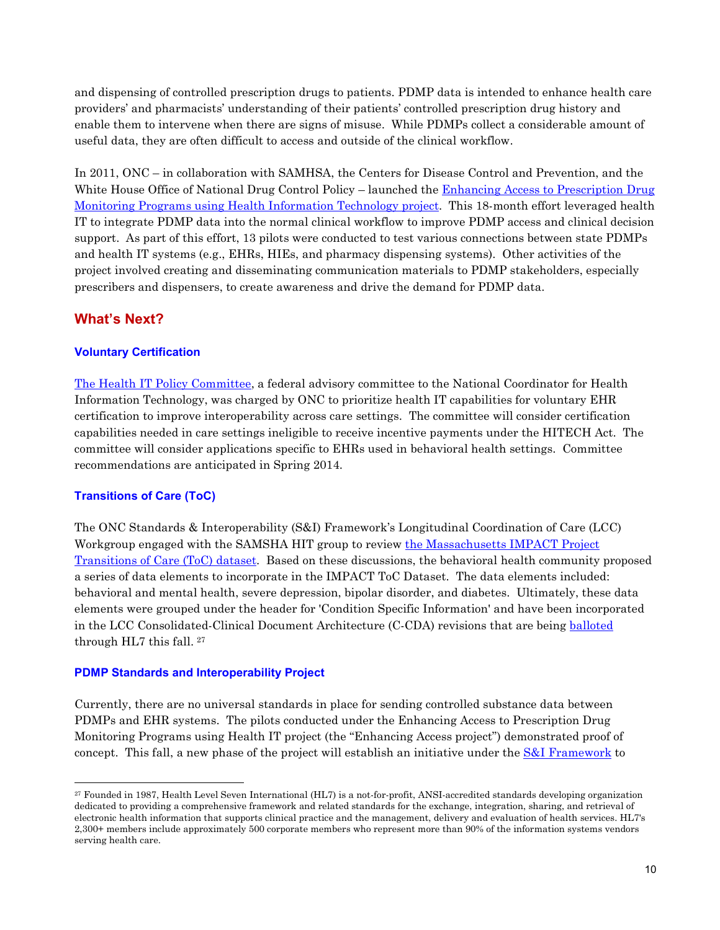<span id="page-9-0"></span>and dispensing of controlled prescription drugs to patients. PDMP data is intended to enhance health care providers' and pharmacists' understanding of their patients' controlled prescription drug history and enable them to intervene when there are signs of misuse. While PDMPs collect a considerable amount of useful data, they are often difficult to access and outside of the clinical workflow.

 In 2011, ONC – in collaboration with SAMHSA, the Centers for Disease Control and Prevention, and the [Monitoring Programs using Health Information Technology project.](http://www.healthit.gov/PDMP) This 18-month effort leveraged health IT to integrate PDMP data into the normal clinical workflow to improve PDMP access and clinical decision support. As part of this effort, 13 pilots were conducted to test various connections between state PDMPs and health IT systems (e.g., EHRs, HIEs, and pharmacy dispensing systems). Other activities of the White House Office of National Drug Control Policy – launched the Enhancing Access to Prescription Drug project involved creating and disseminating communication materials to PDMP stakeholders, especially prescribers and dispensers, to create awareness and drive the demand for PDMP data.

## **What's Next?**

#### **Voluntary Certification**

 certification to improve interoperability across care settings. The committee will consider certification recommendations are anticipated in Spring 2014. [The Health IT Policy Committee,](http://www.healthit.gov/facas/FACAS/health-it-policy-committee) a federal advisory committee to the National Coordinator for Health Information Technology, was charged by ONC to prioritize health IT capabilities for voluntary EHR capabilities needed in care settings ineligible to receive incentive payments under the HITECH Act. The committee will consider applications specific to EHRs used in behavioral health settings. Committee

## **Transitions of Care (ToC)**

 elements were grouped under the header for 'Condition Specific Information' and have been incorporated The ONC Standards & Interoperability (S&I) Framework's Longitudinal Coordination of Care (LCC) Workgroup engaged with the SAMSHA HIT group to review [the Massachusetts IMPACT Project](http://wiki.siframework.org/LCC+Long-Term+Post-Acute+Care+(LTPAC)+Transition+SWG)  [Transitions of Care \(ToC\) dataset.](http://wiki.siframework.org/LCC+Long-Term+Post-Acute+Care+(LTPAC)+Transition+SWG) Based on these discussions, the behavioral health community proposed a series of data elements to incorporate in the IMPACT ToC Dataset. The data elements included: behavioral and mental health, severe depression, bipolar disorder, and diabetes. Ultimately, these data in the LCC Consolidated-Clinical Document Architecture (C-CDA) revisions that are being [balloted](http://wiki.siframework.org/file/view/HL7+Balloting+Information-2.pdf)  through HL7 this fall. [27](#page-9-1) 

#### **PDMP Standards and Interoperability Project**

 Currently, there are no universal standards in place for sending controlled substance data between PDMPs and EHR systems. The pilots conducted under the Enhancing Access to Prescription Drug concept. This fall, a new phase of the project will establish an initiative under the [S&I Framework](http://www.healthit.gov/sites/default/files/pdf/fact-sheets/standards-and-interoperability-framework.pdf) to Monitoring Programs using Health IT project (the "Enhancing Access project") demonstrated proof of

<span id="page-9-1"></span> 27 Founded in 1987, Health Level Seven International (HL7) is a not-for-profit, ANSI-accredited standards developing organization 2,300+ members include approximately 500 corporate members who represent more than 90% of the information systems vendors serving health care. dedicated to providing a comprehensive framework and related standards for the exchange, integration, sharing, and retrieval of electronic health information that supports clinical practice and the management, delivery and evaluation of health services. HL7's